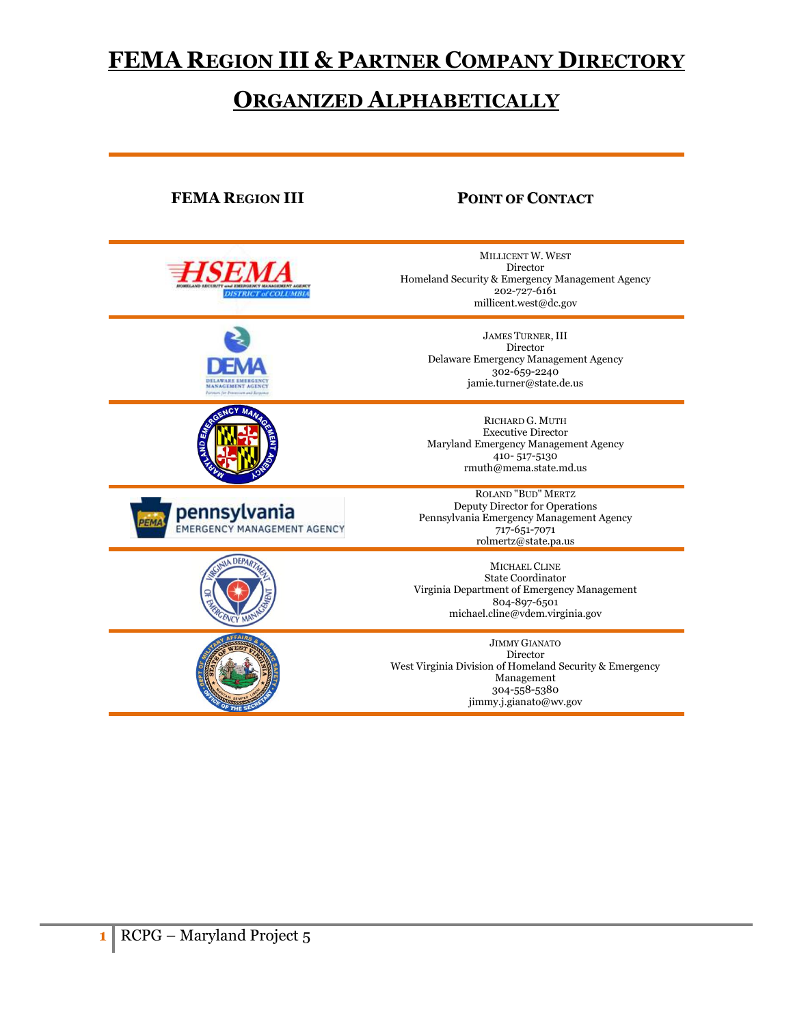# **FEMA REGION III & PARTNER COMPANY DIRECTORY**

# **ORGANIZED ALPHABETICALLY**

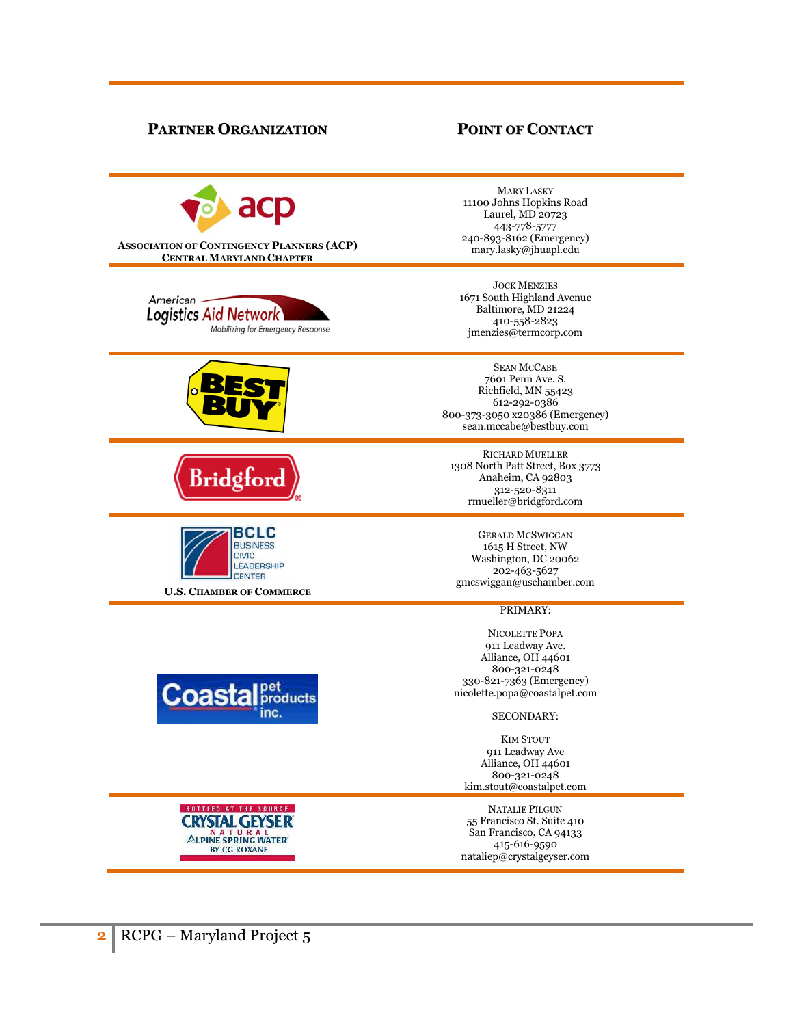# **PARTNER ORGANIZATION POINT OF CONTACT**

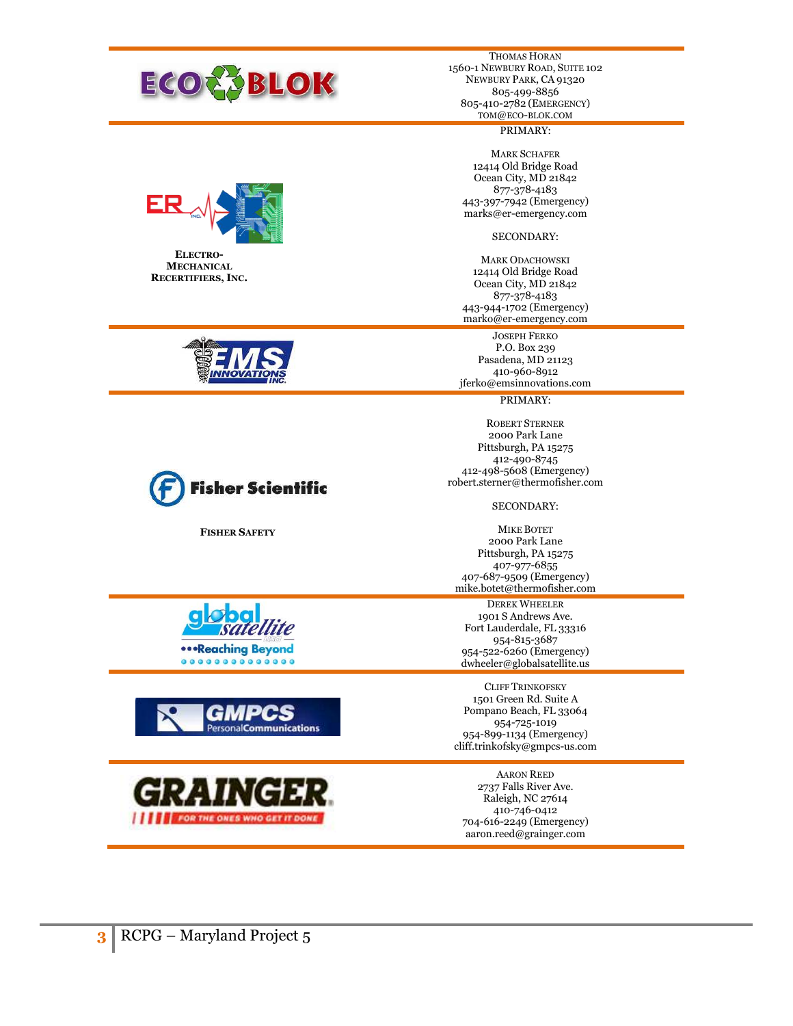

THOMAS HORAN 1560-1 NEWBURY ROAD, SUITE 102 NEWBURY PARK, CA 91320 805-499-8856 805-410-2782 (EMERGENCY) TOM@ECO-BLOK.COM

# PRIMARY:

MARK SCHAFER 12414 Old Bridge Road Ocean City, MD 21842 877-378-4183 443-397-7942 (Emergency) marks@er-emergency.com

# SECONDARY:

MARK ODACHOWSKI 12414 Old Bridge Road Ocean City, MD 21842 877-378-4183 443-944-1702 (Emergency) marko@er-emergency.com

JOSEPH FERKO P.O. Box 239 Pasadena, MD 21123 410-960-8912 jferko@emsinnovations.com

PRIMARY:

ROBERT STERNER 2000 Park Lane Pittsburgh, PA 15275 412-490-8745 412-498-5608 (Emergency) robert.sterner@thermofisher.com

SECONDARY:

MIKE BOTET 2000 Park Lane Pittsburgh, PA 15275 407-977-6855 407-687-9509 (Emergency) mike.botet@thermofisher.com

DEREK WHEELER 1901 S Andrews Ave. Fort Lauderdale, FL 33316 954-815-3687 954-522-6260 (Emergency) dwheeler@globalsatellite.us

CLIFF TRINKOFSKY 1501 Green Rd. Suite A Pompano Beach, FL 33064 954-725-1019 954-899-1134 (Emergency) cliff.trinkofsky@gmpcs-us.com

AARON REED 2737 Falls River Ave. Raleigh, NC 27614 410-746-0412 704-616-2249 (Emergency) aaron.reed@grainger.com



**ELECTRO-MECHANICAL RECERTIFIERS, INC.** 





**FISHER SAFETY**

satellite **...Reaching Beyond** 00000000000000



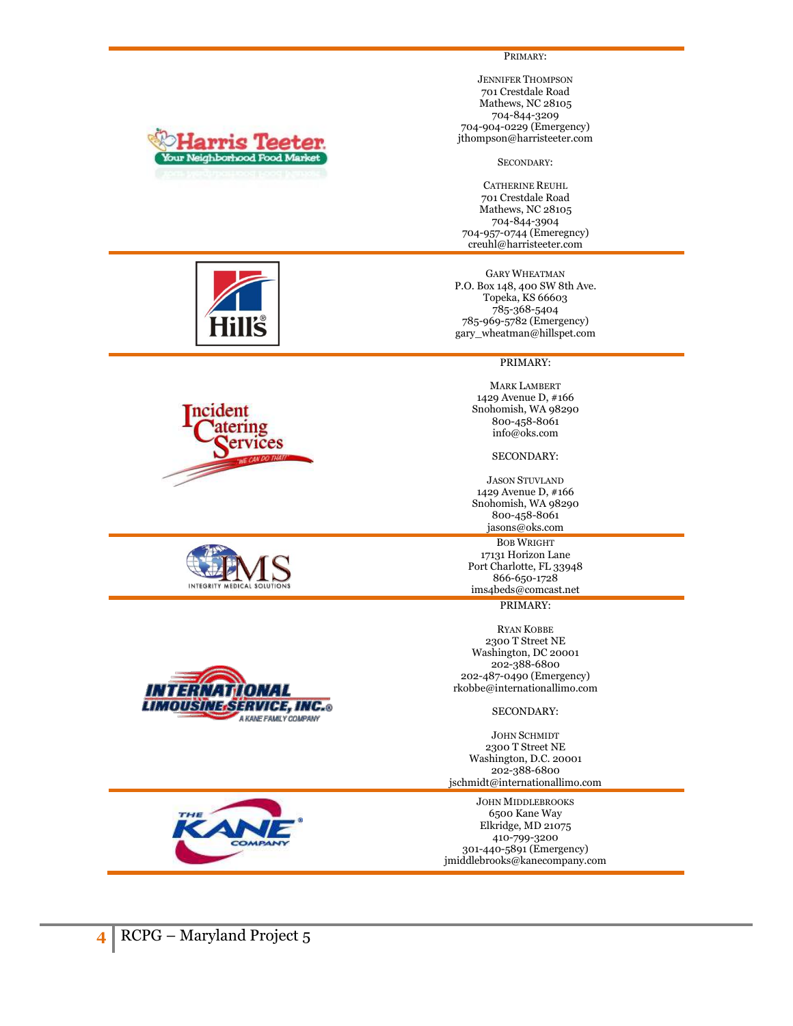

PRIMARY:

JENNIFER THOMPSON 701 Crestdale Road Mathews, NC 28105 704-844-3209 704-904-0229 (Emergency) jthompson@harristeeter.com

SECONDARY:

CATHERINE REUHL 701 Crestdale Road Mathews, NC 28105 704-844-3904 704-957-0744 (Emeregncy) creuhl@harristeeter.com

GARY WHEATMAN P.O. Box 148, 400 SW 8th Ave. Topeka, KS 66603 785-368-5404 785-969-5782 (Emergency) gary\_wheatman@hillspet.com

## PRIMARY:

MARK LAMBERT 1429 Avenue D, #166 Snohomish, WA 98290 800-458-8061 info@oks.com

# SECONDARY:

JASON STUVLAND 1429 Avenue D, #166 Snohomish, WA 98290 800-458-8061 jasons@oks.com

BOB WRIGHT 17131 Horizon Lane Port Charlotte, FL 33948 866-650-1728 ims4beds@comcast.net

PRIMARY:

RYAN KOBBE 2300 T Street NE Washington, DC 20001 202-388-6800 202-487-0490 (Emergency) rkobbe@internationallimo.com

SECONDARY:

JOHN SCHMIDT 2300 T Street NE Washington, D.C. 20001 202-388-6800 jschmidt@internationallimo.com

JOHN MIDDLEBROOKS 6500 Kane Way Elkridge, MD 21075 410-799-3200 301-440-5891 (Emergency) jmiddlebrooks@kanecompany.com









COMPAN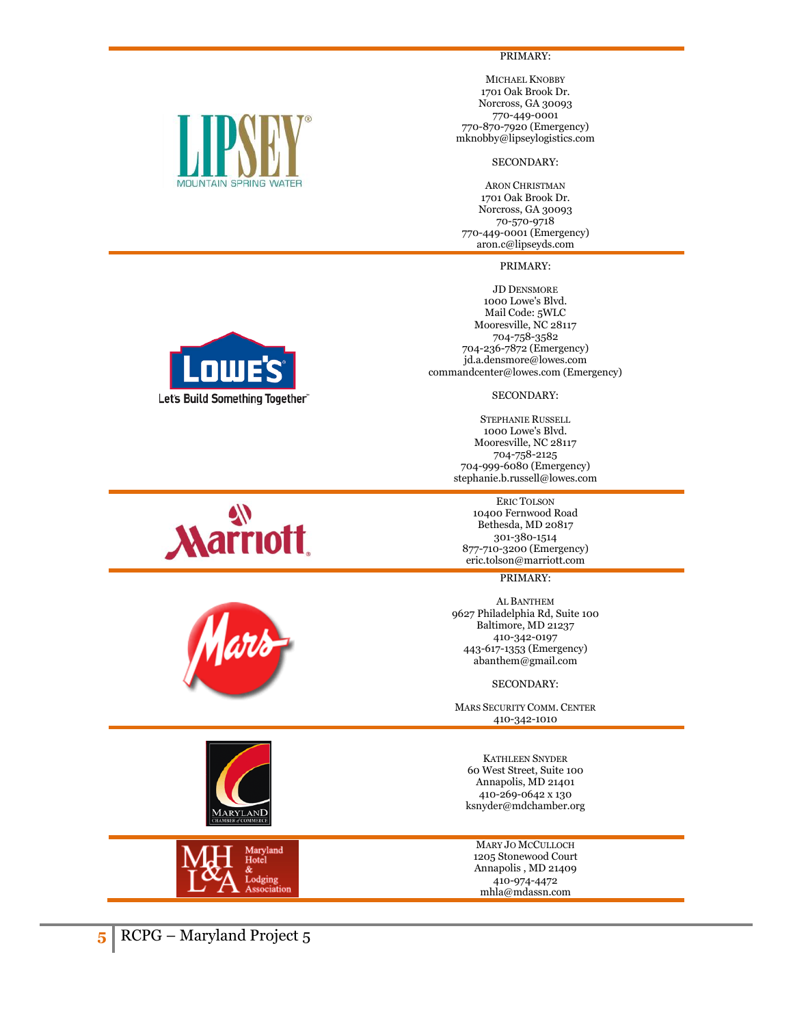

PRIMARY:

MICHAEL KNOBBY 1701 Oak Brook Dr. Norcross, GA 30093 770-449-0001 770-870-7920 (Emergency) mknobby@lipseylogistics.com

# SECONDARY:

ARON CHRISTMAN 1701 Oak Brook Dr. Norcross, GA 30093 70-570-9718 770-449-0001 (Emergency) aron.c@lipseyds.com

PRIMARY:

JD DENSMORE 1000 Lowe's Blvd. Mail Code: 5WLC Mooresville, NC 28117 704-758-3582 704-236-7872 (Emergency) jd.a.densmore@lowes.com commandcenter@lowes.com (Emergency)

# SECONDARY:

STEPHANIE RUSSELL 1000 Lowe's Blvd. Mooresville, NC 28117 704-758-2125 704-999-6080 (Emergency) stephanie.b.russell@lowes.com

ERIC TOLSON 10400 Fernwood Road Bethesda, MD 20817 301-380-1514 877-710-3200 (Emergency) eric.tolson@marriott.com

PRIMARY:

AL BANTHEM 9627 Philadelphia Rd, Suite 100 Baltimore, MD 21237 410-342-0197 443-617-1353 (Emergency) abanthem@gmail.com

SECONDARY:

MARS SECURITY COMM. CENTER 410-342-1010

KATHLEEN SNYDER 60 West Street, Suite 100 Annapolis, MD 21401 410-269-0642 x 130 ksnyder@mdchamber.org

MARY JO MCCULLOCH 1205 Stonewood Court Annapolis , MD 21409 410-974-4472 mhla@mdassn.com











**5** RCPG – Maryland Project 5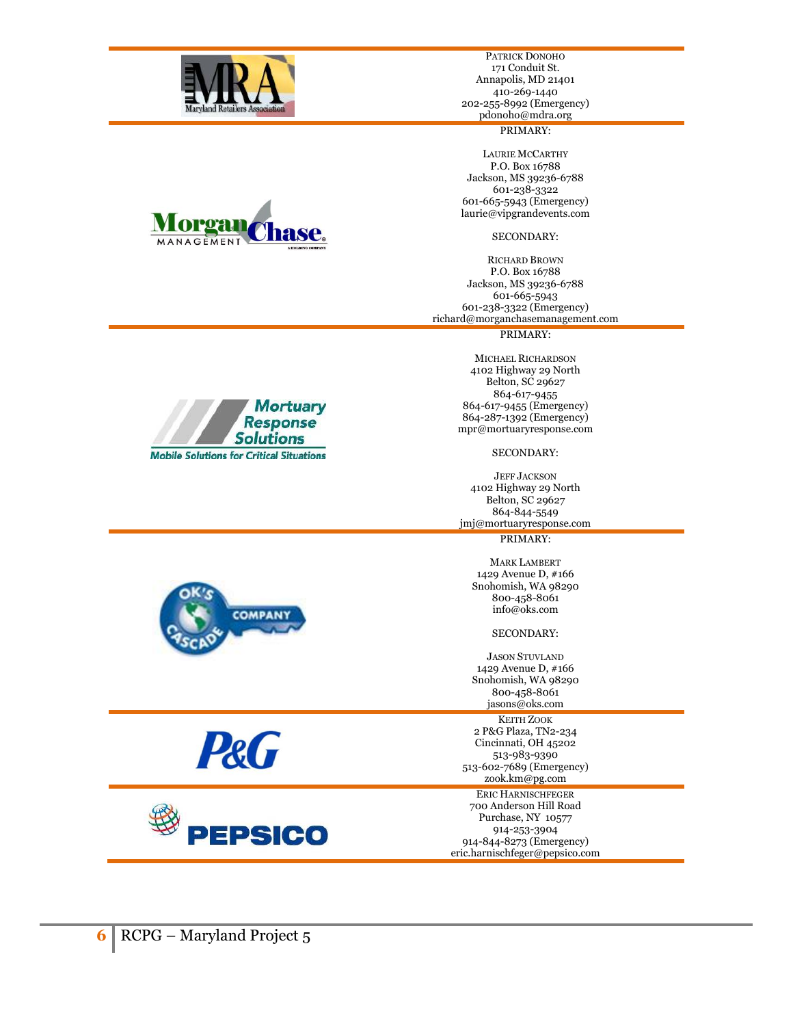

PATRICK DONOHO 171 Conduit St. Annapolis, MD 21401 410-269-1440 202-255-8992 (Emergency) pdonoho@mdra.org

# PRIMARY:

LAURIE MCCARTHY P.O. Box 16788 Jackson, MS 39236-6788 601-238-3322 601-665-5943 (Emergency) laurie@vipgrandevents.com

# SECONDARY:

RICHARD BROWN P.O. Box 16788 Jackson, MS 39236-6788 601-665-5943 601-238-3322 (Emergency) richard@morganchasemanagement.com

## PRIMARY:

MICHAEL RICHARDSON 4102 Highway 29 North Belton, SC 29627 864-617-9455 864-617-9455 (Emergency) 864-287-1392 (Emergency) mpr@mortuaryresponse.com

SECONDARY:

JEFF JACKSON 4102 Highway 29 North Belton, SC 29627 864-844-5549 jmj@mortuaryresponse.com

PRIMARY:

MARK LAMBERT 1429 Avenue D, #166 Snohomish, WA 98290 800-458-8061 info@oks.com

# SECONDARY:

JASON STUVLAND 1429 Avenue D, #166 Snohomish, WA 98290 800-458-8061 jasons@oks.com

# KEITH ZOOK

2 P&G Plaza, TN2-234 Cincinnati, OH 45202 513-983-9390 513-602-7689 (Emergency) zook.km@pg.com

ERIC HARNISCHFEGER

700 Anderson Hill Road

Purchase, NY 10577 914-253-3904 914-844-8273 (Emergency)

eric.harnischfeger@pepsico.com



**Mortuary Response Solutions** 



**Mobile Solutions for Critical Situations** 

**P&G** 

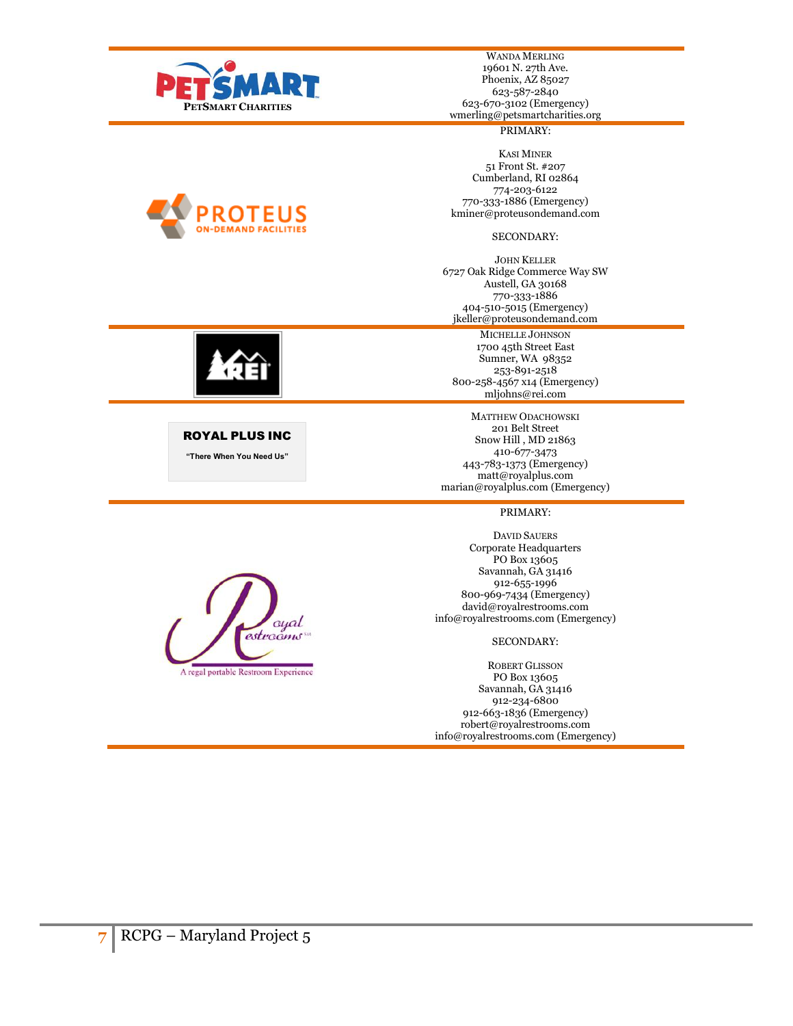

WANDA MERLING 19601 N. 27th Ave. Phoenix, AZ 85027 623-587-2840 623-670-3102 (Emergency) wmerling@petsmartcharities.org

# PRIMARY:

KASI MINER 51 Front St. #207 Cumberland, RI 02864 774-203-6122 770-333-1886 (Emergency) kminer@proteusondemand.com

# SECONDARY:

JOHN KELLER 6727 Oak Ridge Commerce Way SW Austell, GA 30168 770-333-1886 404-510-5015 (Emergency) jkeller@proteusondemand.com

## MICHELLE JOHNSON

1700 45th Street East Sumner, WA 98352 253-891-2518 800-258-4567 x14 (Emergency) mljohns@rei.com

MATTHEW ODACHOWSKI 201 Belt Street Snow Hill , MD 21863 410-677-3473 443-783-1373 (Emergency) matt@royalplus.com marian@royalplus.com (Emergency)

## PRIMARY:

DAVID SAUERS Corporate Headquarters PO Box 13605 Savannah, GA 31416 912-655-1996 800-969-7434 (Emergency) david@royalrestrooms.com info@royalrestrooms.com (Emergency)

# SECONDARY:

ROBERT GLISSON PO Box 13605 Savannah, GA 31416 912-234-6800 912-663-1836 (Emergency) robert@royalrestrooms.com info@royalrestrooms.com (Emergency)





ROYAL PLUS INC **"There When You Need Us"**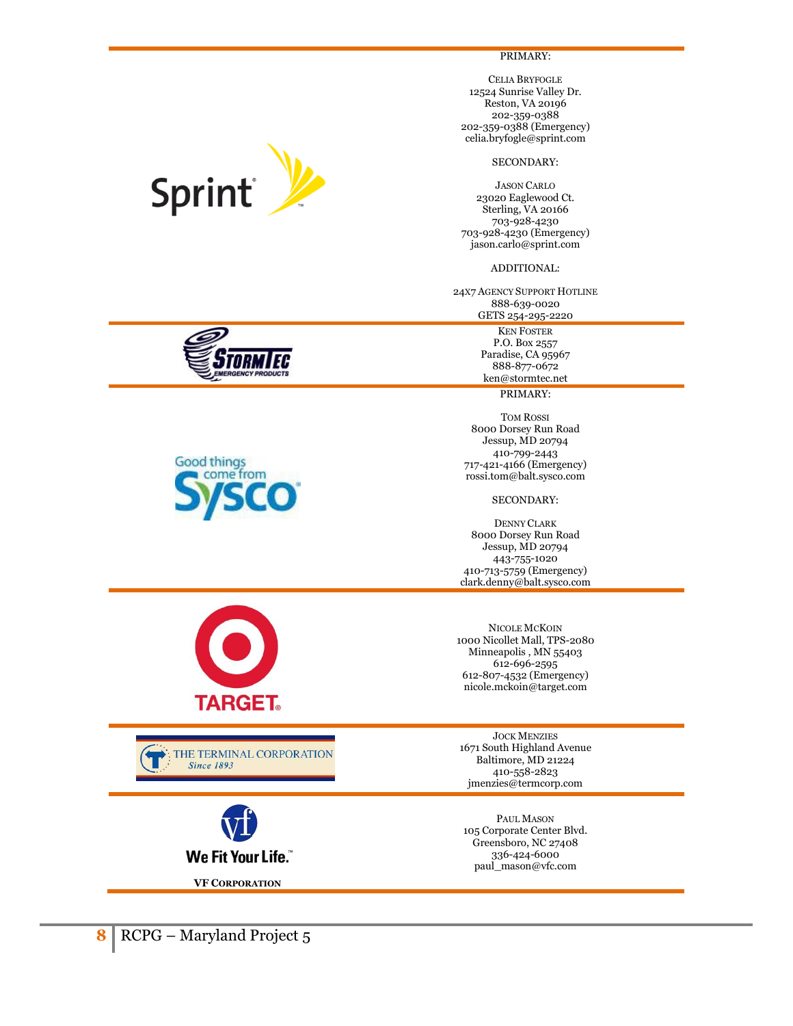PRIMARY:

CELIA BRYFOGLE 12524 Sunrise Valley Dr. Reston, VA 20196 202-359-0388 202-359-0388 (Emergency) celia.bryfogle@sprint.com

# SECONDARY:

JASON CARLO 23020 Eaglewood Ct. Sterling, VA 20166 703-928-4230 703-928-4230 (Emergency) jason.carlo@sprint.com

ADDITIONAL:

24X7 AGENCY SUPPORT HOTLINE 888-639-0020 GETS 254-295-2220

> KEN FOSTER P.O. Box 2557 Paradise, CA 95967 888-877-0672 ken@stormtec.net

# PRIMARY:

TOM ROSSI 8000 Dorsey Run Road Jessup, MD 20794 410-799-2443 717-421-4166 (Emergency) rossi.tom@balt.sysco.com

SECONDARY:

DENNY CLARK 8000 Dorsey Run Road Jessup, MD 20794 443-755-1020 410-713-5759 (Emergency) clark.denny@balt.sysco.com

NICOLE MCKOIN 1000 Nicollet Mall, TPS-2080 Minneapolis , MN 55403 612-696-2595 612-807-4532 (Emergency) nicole.mckoin@target.com

JOCK MENZIES 1671 South Highland Avenue Baltimore, MD 21224 410-558-2823 jmenzies@termcorp.com

PAUL MASON 105 Corporate Center Blvd. Greensboro, NC 27408 336-424-6000 paul\_mason@vfc.com



**Since 1893** 

**VF CORPORATION**

We Fit Your Life."

**TARGET.** 

THE TERMINAL CORPORATION